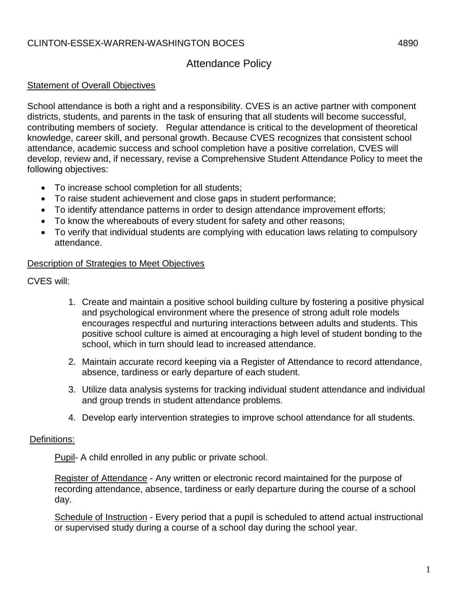# Attendance Policy

### Statement of Overall Objectives

School attendance is both a right and a responsibility. CVES is an active partner with component districts, students, and parents in the task of ensuring that all students will become successful, contributing members of society. Regular attendance is critical to the development of theoretical knowledge, career skill, and personal growth. Because CVES recognizes that consistent school attendance, academic success and school completion have a positive correlation, CVES will develop, review and, if necessary, revise a Comprehensive Student Attendance Policy to meet the following objectives:

- To increase school completion for all students;
- To raise student achievement and close gaps in student performance;
- To identify attendance patterns in order to design attendance improvement efforts;
- To know the whereabouts of every student for safety and other reasons;
- To verify that individual students are complying with education laws relating to compulsory attendance.

#### Description of Strategies to Meet Objectives

CVES will:

- 1. Create and maintain a positive school building culture by fostering a positive physical and psychological environment where the presence of strong adult role models encourages respectful and nurturing interactions between adults and students. This positive school culture is aimed at encouraging a high level of student bonding to the school, which in turn should lead to increased attendance.
- 2. Maintain accurate record keeping via a Register of Attendance to record attendance, absence, tardiness or early departure of each student.
- 3. Utilize data analysis systems for tracking individual student attendance and individual and group trends in student attendance problems.
- 4. Develop early intervention strategies to improve school attendance for all students.

#### Definitions:

Pupil- A child enrolled in any public or private school.

Register of Attendance - Any written or electronic record maintained for the purpose of recording attendance, absence, tardiness or early departure during the course of a school day.

Schedule of Instruction - Every period that a pupil is scheduled to attend actual instructional or supervised study during a course of a school day during the school year.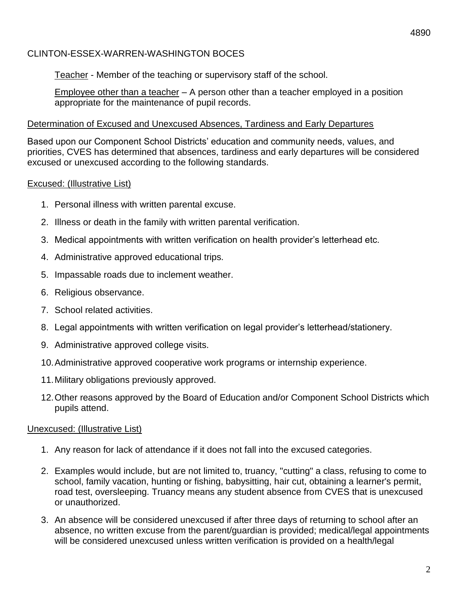Teacher - Member of the teaching or supervisory staff of the school.

Employee other than a teacher – A person other than a teacher employed in a position appropriate for the maintenance of pupil records.

### Determination of Excused and Unexcused Absences, Tardiness and Early Departures

Based upon our Component School Districts' education and community needs, values, and priorities, CVES has determined that absences, tardiness and early departures will be considered excused or unexcused according to the following standards.

### Excused: (Illustrative List)

- 1. Personal illness with written parental excuse.
- 2. Illness or death in the family with written parental verification.
- 3. Medical appointments with written verification on health provider's letterhead etc.
- 4. Administrative approved educational trips.
- 5. Impassable roads due to inclement weather.
- 6. Religious observance.
- 7. School related activities.
- 8. Legal appointments with written verification on legal provider's letterhead/stationery.
- 9. Administrative approved college visits.
- 10.Administrative approved cooperative work programs or internship experience.
- 11.Military obligations previously approved.
- 12.Other reasons approved by the Board of Education and/or Component School Districts which pupils attend.

### Unexcused: (Illustrative List)

- 1. Any reason for lack of attendance if it does not fall into the excused categories.
- 2. Examples would include, but are not limited to, truancy, "cutting" a class, refusing to come to school, family vacation, hunting or fishing, babysitting, hair cut, obtaining a learner's permit, road test, oversleeping. Truancy means any student absence from CVES that is unexcused or unauthorized.
- 3. An absence will be considered unexcused if after three days of returning to school after an absence, no written excuse from the parent/guardian is provided; medical/legal appointments will be considered unexcused unless written verification is provided on a health/legal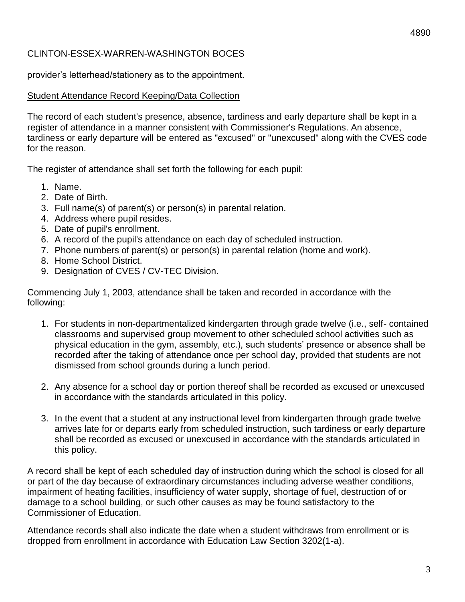provider's letterhead/stationery as to the appointment.

### Student Attendance Record Keeping/Data Collection

The record of each student's presence, absence, tardiness and early departure shall be kept in a register of attendance in a manner consistent with Commissioner's Regulations. An absence, tardiness or early departure will be entered as "excused" or "unexcused" along with the CVES code for the reason.

The register of attendance shall set forth the following for each pupil:

- 1. Name.
- 2. Date of Birth.
- 3. Full name(s) of parent(s) or person(s) in parental relation.
- 4. Address where pupil resides.
- 5. Date of pupil's enrollment.
- 6. A record of the pupil's attendance on each day of scheduled instruction.
- 7. Phone numbers of parent(s) or person(s) in parental relation (home and work).
- 8. Home School District.
- 9. Designation of CVES / CV-TEC Division.

Commencing July 1, 2003, attendance shall be taken and recorded in accordance with the following:

- 1. For students in non-departmentalized kindergarten through grade twelve (i.e., self- contained classrooms and supervised group movement to other scheduled school activities such as physical education in the gym, assembly, etc.), such students' presence or absence shall be recorded after the taking of attendance once per school day, provided that students are not dismissed from school grounds during a lunch period.
- 2. Any absence for a school day or portion thereof shall be recorded as excused or unexcused in accordance with the standards articulated in this policy.
- 3. In the event that a student at any instructional level from kindergarten through grade twelve arrives late for or departs early from scheduled instruction, such tardiness or early departure shall be recorded as excused or unexcused in accordance with the standards articulated in this policy.

A record shall be kept of each scheduled day of instruction during which the school is closed for all or part of the day because of extraordinary circumstances including adverse weather conditions, impairment of heating facilities, insufficiency of water supply, shortage of fuel, destruction of or damage to a school building, or such other causes as may be found satisfactory to the Commissioner of Education.

Attendance records shall also indicate the date when a student withdraws from enrollment or is dropped from enrollment in accordance with Education Law Section 3202(1-a).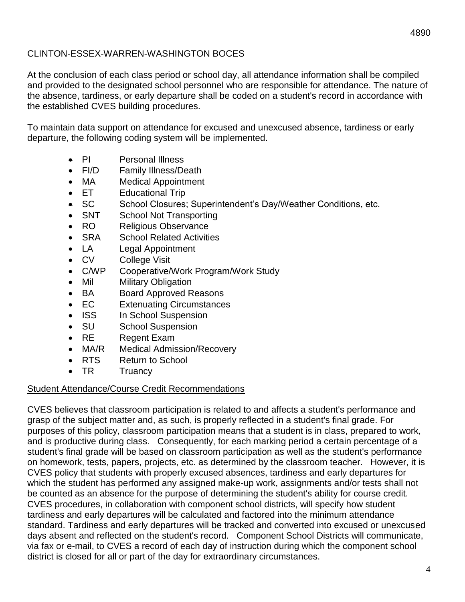At the conclusion of each class period or school day, all attendance information shall be compiled and provided to the designated school personnel who are responsible for attendance. The nature of the absence, tardiness, or early departure shall be coded on a student's record in accordance with the established CVES building procedures.

To maintain data support on attendance for excused and unexcused absence, tardiness or early departure, the following coding system will be implemented.

- PI Personal Illness
- FI/D Family Illness/Death
- MA Medical Appointment
- **ET** Educational Trip
- SC School Closures; Superintendent's Day/Weather Conditions, etc.
- SNT School Not Transporting
- RO Religious Observance
- SRA School Related Activities
- LA Legal Appointment
- CV College Visit
- C/WP Cooperative/Work Program/Work Study
- Mil Military Obligation
- BA Board Approved Reasons
- EC Extenuating Circumstances
- ISS In School Suspension
- SU School Suspension
- RE Regent Exam
- MA/R Medical Admission/Recovery
- RTS Return to School
- TR Truancy

#### Student Attendance/Course Credit Recommendations

CVES believes that classroom participation is related to and affects a student's performance and grasp of the subject matter and, as such, is properly reflected in a student's final grade. For purposes of this policy, classroom participation means that a student is in class, prepared to work, and is productive during class. Consequently, for each marking period a certain percentage of a student's final grade will be based on classroom participation as well as the student's performance on homework, tests, papers, projects, etc. as determined by the classroom teacher. However, it is CVES policy that students with properly excused absences, tardiness and early departures for which the student has performed any assigned make-up work, assignments and/or tests shall not be counted as an absence for the purpose of determining the student's ability for course credit. CVES procedures, in collaboration with component school districts, will specify how student tardiness and early departures will be calculated and factored into the minimum attendance standard. Tardiness and early departures will be tracked and converted into excused or unexcused days absent and reflected on the student's record. Component School Districts will communicate, via fax or e-mail, to CVES a record of each day of instruction during which the component school district is closed for all or part of the day for extraordinary circumstances.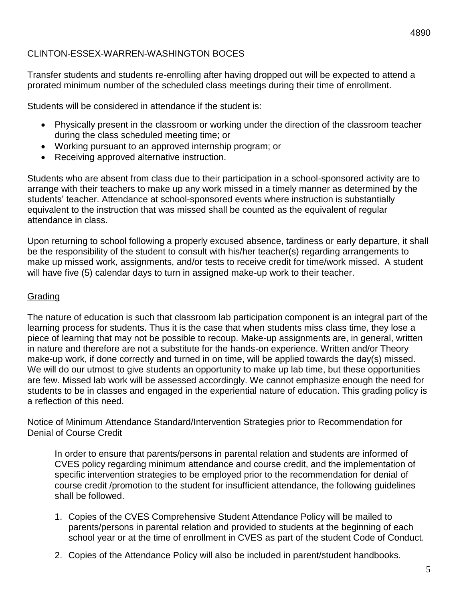Transfer students and students re-enrolling after having dropped out will be expected to attend a prorated minimum number of the scheduled class meetings during their time of enrollment.

Students will be considered in attendance if the student is:

- Physically present in the classroom or working under the direction of the classroom teacher during the class scheduled meeting time; or
- Working pursuant to an approved internship program; or
- Receiving approved alternative instruction.

Students who are absent from class due to their participation in a school-sponsored activity are to arrange with their teachers to make up any work missed in a timely manner as determined by the students' teacher. Attendance at school-sponsored events where instruction is substantially equivalent to the instruction that was missed shall be counted as the equivalent of regular attendance in class.

Upon returning to school following a properly excused absence, tardiness or early departure, it shall be the responsibility of the student to consult with his/her teacher(s) regarding arrangements to make up missed work, assignments, and/or tests to receive credit for time/work missed. A student will have five (5) calendar days to turn in assigned make-up work to their teacher.

### Grading

The nature of education is such that classroom lab participation component is an integral part of the learning process for students. Thus it is the case that when students miss class time, they lose a piece of learning that may not be possible to recoup. Make-up assignments are, in general, written in nature and therefore are not a substitute for the hands-on experience. Written and/or Theory make-up work, if done correctly and turned in on time, will be applied towards the day(s) missed. We will do our utmost to give students an opportunity to make up lab time, but these opportunities are few. Missed lab work will be assessed accordingly. We cannot emphasize enough the need for students to be in classes and engaged in the experiential nature of education. This grading policy is a reflection of this need.

Notice of Minimum Attendance Standard/Intervention Strategies prior to Recommendation for Denial of Course Credit

In order to ensure that parents/persons in parental relation and students are informed of CVES policy regarding minimum attendance and course credit, and the implementation of specific intervention strategies to be employed prior to the recommendation for denial of course credit /promotion to the student for insufficient attendance, the following guidelines shall be followed.

- 1. Copies of the CVES Comprehensive Student Attendance Policy will be mailed to parents/persons in parental relation and provided to students at the beginning of each school year or at the time of enrollment in CVES as part of the student Code of Conduct.
- 2. Copies of the Attendance Policy will also be included in parent/student handbooks.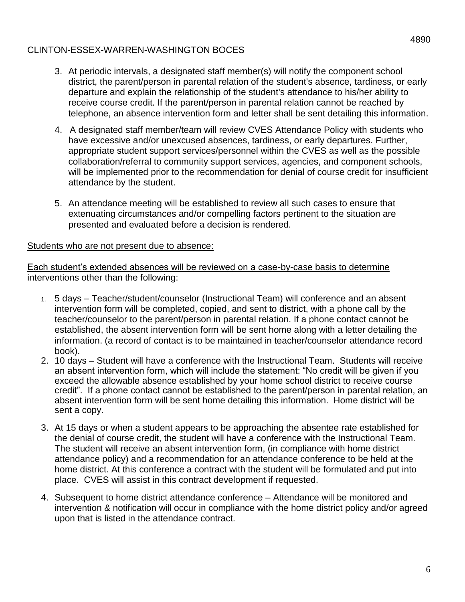- 3. At periodic intervals, a designated staff member(s) will notify the component school district, the parent/person in parental relation of the student's absence, tardiness, or early departure and explain the relationship of the student's attendance to his/her ability to receive course credit. If the parent/person in parental relation cannot be reached by telephone, an absence intervention form and letter shall be sent detailing this information.
- 4. A designated staff member/team will review CVES Attendance Policy with students who have excessive and/or unexcused absences, tardiness, or early departures. Further, appropriate student support services/personnel within the CVES as well as the possible collaboration/referral to community support services, agencies, and component schools, will be implemented prior to the recommendation for denial of course credit for insufficient attendance by the student.
- 5. An attendance meeting will be established to review all such cases to ensure that extenuating circumstances and/or compelling factors pertinent to the situation are presented and evaluated before a decision is rendered.

#### Students who are not present due to absence:

#### Each student's extended absences will be reviewed on a case-by-case basis to determine interventions other than the following:

- 1. 5 days Teacher/student/counselor (Instructional Team) will conference and an absent intervention form will be completed, copied, and sent to district, with a phone call by the teacher/counselor to the parent/person in parental relation. If a phone contact cannot be established, the absent intervention form will be sent home along with a letter detailing the information. (a record of contact is to be maintained in teacher/counselor attendance record book).
- 2. 10 days Student will have a conference with the Instructional Team. Students will receive an absent intervention form, which will include the statement: "No credit will be given if you exceed the allowable absence established by your home school district to receive course credit". If a phone contact cannot be established to the parent/person in parental relation, an absent intervention form will be sent home detailing this information. Home district will be sent a copy.
- 3. At 15 days or when a student appears to be approaching the absentee rate established for the denial of course credit, the student will have a conference with the Instructional Team. The student will receive an absent intervention form, (in compliance with home district attendance policy) and a recommendation for an attendance conference to be held at the home district. At this conference a contract with the student will be formulated and put into place. CVES will assist in this contract development if requested.
- 4. Subsequent to home district attendance conference Attendance will be monitored and intervention & notification will occur in compliance with the home district policy and/or agreed upon that is listed in the attendance contract.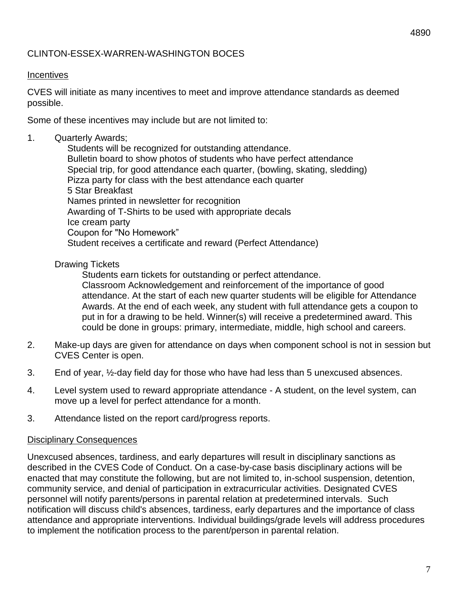#### **Incentives**

CVES will initiate as many incentives to meet and improve attendance standards as deemed possible.

Some of these incentives may include but are not limited to:

#### 1. Quarterly Awards;

 Students will be recognized for outstanding attendance. Bulletin board to show photos of students who have perfect attendance Special trip, for good attendance each quarter, (bowling, skating, sledding) Pizza party for class with the best attendance each quarter 5 Star Breakfast Names printed in newsletter for recognition Awarding of T-Shirts to be used with appropriate decals Ice cream party Coupon for "No Homework" Student receives a certificate and reward (Perfect Attendance)

#### Drawing Tickets

Students earn tickets for outstanding or perfect attendance. Classroom Acknowledgement and reinforcement of the importance of good attendance. At the start of each new quarter students will be eligible for Attendance Awards. At the end of each week, any student with full attendance gets a coupon to put in for a drawing to be held. Winner(s) will receive a predetermined award. This could be done in groups: primary, intermediate, middle, high school and careers.

- 2. Make-up days are given for attendance on days when component school is not in session but CVES Center is open.
- 3. End of year, ½-day field day for those who have had less than 5 unexcused absences.
- 4. Level system used to reward appropriate attendance A student, on the level system, can move up a level for perfect attendance for a month.
- 3. Attendance listed on the report card/progress reports.

#### Disciplinary Consequences

Unexcused absences, tardiness, and early departures will result in disciplinary sanctions as described in the CVES Code of Conduct. On a case-by-case basis disciplinary actions will be enacted that may constitute the following, but are not limited to, in-school suspension, detention, community service, and denial of participation in extracurricular activities. Designated CVES personnel will notify parents/persons in parental relation at predetermined intervals. Such notification will discuss child's absences, tardiness, early departures and the importance of class attendance and appropriate interventions. Individual buildings/grade levels will address procedures to implement the notification process to the parent/person in parental relation.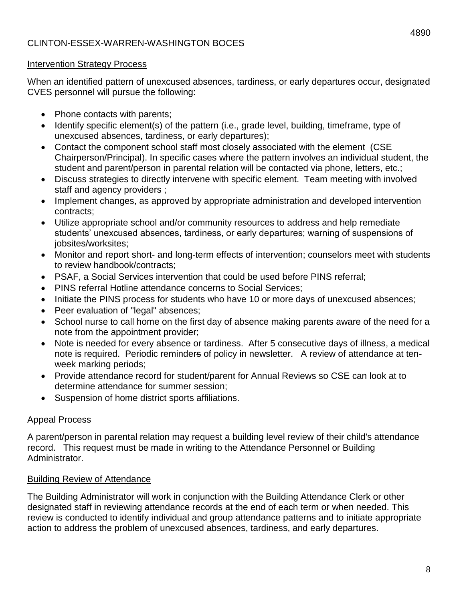### Intervention Strategy Process

When an identified pattern of unexcused absences, tardiness, or early departures occur, designated CVES personnel will pursue the following:

- Phone contacts with parents;
- Identify specific element(s) of the pattern (i.e., grade level, building, timeframe, type of unexcused absences, tardiness, or early departures);
- Contact the component school staff most closely associated with the element (CSE Chairperson/Principal). In specific cases where the pattern involves an individual student, the student and parent/person in parental relation will be contacted via phone, letters, etc.;
- Discuss strategies to directly intervene with specific element. Team meeting with involved staff and agency providers ;
- Implement changes, as approved by appropriate administration and developed intervention contracts;
- Utilize appropriate school and/or community resources to address and help remediate students' unexcused absences, tardiness, or early departures; warning of suspensions of jobsites/worksites;
- Monitor and report short- and long-term effects of intervention; counselors meet with students to review handbook/contracts;
- PSAF, a Social Services intervention that could be used before PINS referral;
- PINS referral Hotline attendance concerns to Social Services;
- Initiate the PINS process for students who have 10 or more days of unexcused absences;
- Peer evaluation of "legal" absences;
- School nurse to call home on the first day of absence making parents aware of the need for a note from the appointment provider;
- Note is needed for every absence or tardiness. After 5 consecutive days of illness, a medical note is required. Periodic reminders of policy in newsletter. A review of attendance at tenweek marking periods;
- Provide attendance record for student/parent for Annual Reviews so CSE can look at to determine attendance for summer session;
- Suspension of home district sports affiliations.

### Appeal Process

A parent/person in parental relation may request a building level review of their child's attendance record. This request must be made in writing to the Attendance Personnel or Building Administrator.

### **Building Review of Attendance**

The Building Administrator will work in conjunction with the Building Attendance Clerk or other designated staff in reviewing attendance records at the end of each term or when needed. This review is conducted to identify individual and group attendance patterns and to initiate appropriate action to address the problem of unexcused absences, tardiness, and early departures.